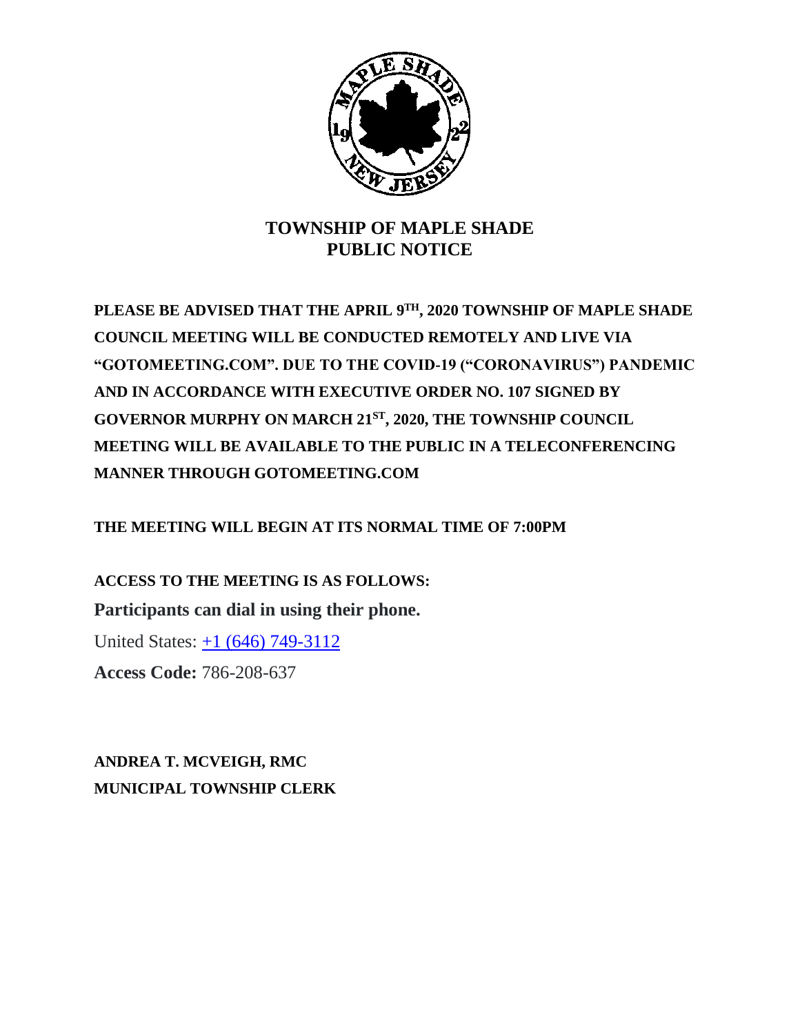

## **TOWNSHIP OF MAPLE SHADE PUBLIC NOTICE**

**PLEASE BE ADVISED THAT THE APRIL 9 TH, 2020 TOWNSHIP OF MAPLE SHADE COUNCIL MEETING WILL BE CONDUCTED REMOTELY AND LIVE VIA "GOTOMEETING.COM". DUE TO THE COVID-19 ("CORONAVIRUS") PANDEMIC AND IN ACCORDANCE WITH EXECUTIVE ORDER NO. 107 SIGNED BY GOVERNOR MURPHY ON MARCH 21ST, 2020, THE TOWNSHIP COUNCIL MEETING WILL BE AVAILABLE TO THE PUBLIC IN A TELECONFERENCING MANNER THROUGH GOTOMEETING.COM**

**THE MEETING WILL BEGIN AT ITS NORMAL TIME OF 7:00PM**

**ACCESS TO THE MEETING IS AS FOLLOWS: Participants can dial in using their phone.**

United States: +1 (646) 749-3112

**Access Code:** 786-208-637

**ANDREA T. MCVEIGH, RMC MUNICIPAL TOWNSHIP CLERK**